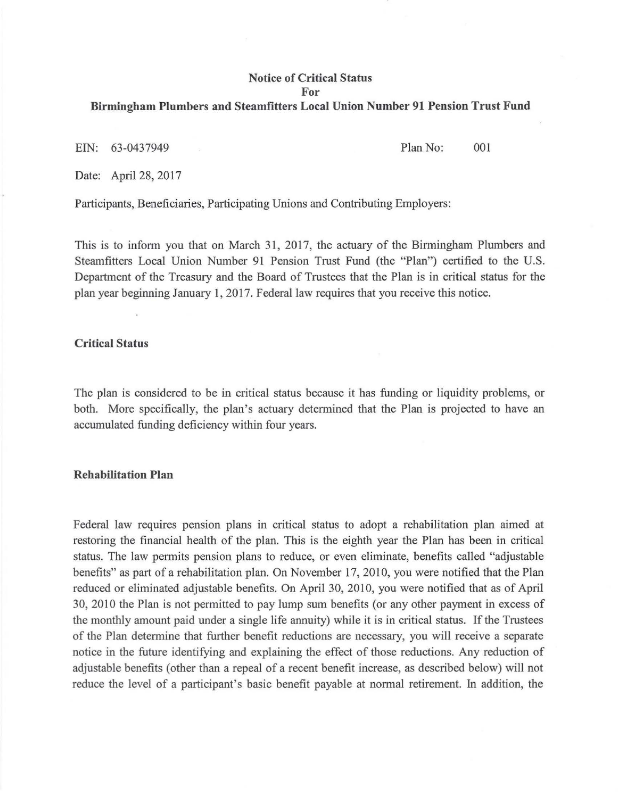### **Notice of Critical Status For**

#### **Birmingham Plumbers and Steamfitters Local Union Number 91 Pension Trust Fund**

EIN: 63-0437949 Plan No: 001

Date: April 28, 2017

Participants, Beneficiaries, Participating Unions and Contributing Employers:

This is to inform you that on March 31, 2017, the actuary of the Birmingham Plumbers and Steamfitters Local Union Number 91 Pension Trust Fund (the "Plan") certified to the U.S. Department of the Treasury and the Board of Trustees that the Plan is in critical status for the plan year beginning January 1, 2017. Federal law requires that you receive this notice.

### **Critical Status**

The plan is considered to be in critical status because it has funding or liquidity problems, or both. More specifically, the plan's actuary determined that the Plan is projected to have an accumulated funding deficiency within four years.

#### **Rehabilitation Plan**

Federal law requires pension plans in critical status to adopt a rehabilitation plan aimed at restoring the financial health of the plan. This is the eighth year the Plan has been in critical status. The law permits pension plans to reduce, or even eliminate, benefits called "adjustable benefits" as part of a rehabilitation plan. On November 17, 2010, you were notified that the Plan reduced or eliminated adjustable benefits. On April 30, 2010, you were notified that as of April 30, 2010 the Plan is not permitted to pay lump sum benefits (or any other payment in excess of the monthly amount paid under a single life annuity) while it is in critical status. If the Trustees of the Plan determine that further benefit reductions are necessary, you will receive a separate notice in the future identifying and explaining the effect of those reductions. Any reduction of adjustable benefits (other than a repeal of a recent benefit increase, as described below) will not reduce the level of a participant's basic benefit payable at normal retirement. In addition, the